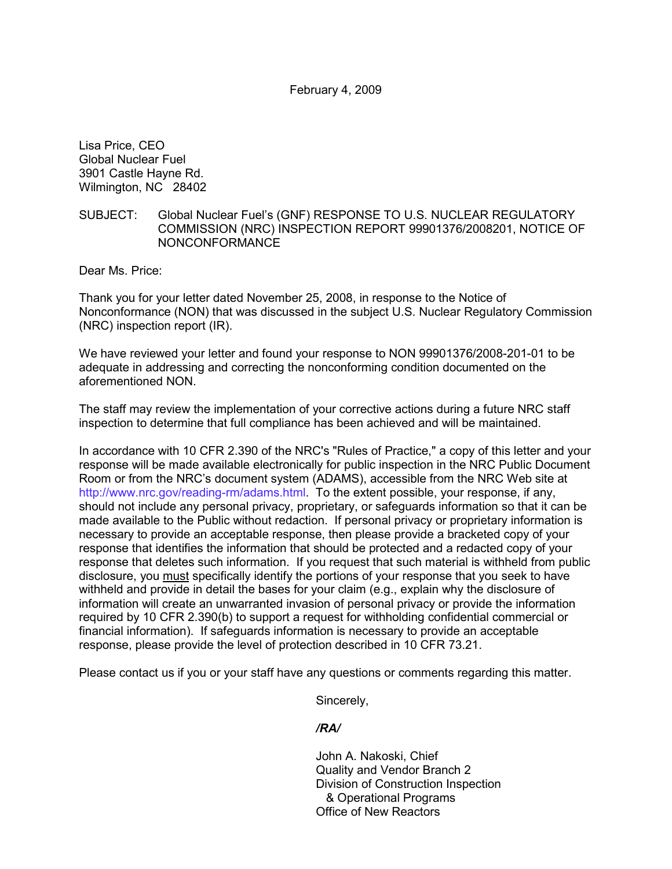February 4, 2009

Lisa Price, CEO Global Nuclear Fuel 3901 Castle Hayne Rd. Wilmington, NC 28402

## SUBJECT: Global Nuclear Fuel's (GNF) RESPONSE TO U.S. NUCLEAR REGULATORY COMMISSION (NRC) INSPECTION REPORT 99901376/2008201, NOTICE OF NONCONFORMANCE

Dear Ms. Price:

Thank you for your letter dated November 25, 2008, in response to the Notice of Nonconformance (NON) that was discussed in the subject U.S. Nuclear Regulatory Commission (NRC) inspection report (IR).

We have reviewed your letter and found your response to NON 99901376/2008-201-01 to be adequate in addressing and correcting the nonconforming condition documented on the aforementioned NON.

The staff may review the implementation of your corrective actions during a future NRC staff inspection to determine that full compliance has been achieved and will be maintained.

In accordance with 10 CFR 2.390 of the NRC's "Rules of Practice," a copy of this letter and your response will be made available electronically for public inspection in the NRC Public Document Room or from the NRC's document system (ADAMS), accessible from the NRC Web site at http://www.nrc.gov/reading-rm/adams.html. To the extent possible, your response, if any, should not include any personal privacy, proprietary, or safeguards information so that it can be made available to the Public without redaction. If personal privacy or proprietary information is necessary to provide an acceptable response, then please provide a bracketed copy of your response that identifies the information that should be protected and a redacted copy of your response that deletes such information. If you request that such material is withheld from public disclosure, you must specifically identify the portions of your response that you seek to have withheld and provide in detail the bases for your claim (e.g., explain why the disclosure of information will create an unwarranted invasion of personal privacy or provide the information required by 10 CFR 2.390(b) to support a request for withholding confidential commercial or financial information). If safeguards information is necessary to provide an acceptable response, please provide the level of protection described in 10 CFR 73.21.

Please contact us if you or your staff have any questions or comments regarding this matter.

Sincerely,

## */RA/*

John A. Nakoski, Chief Quality and Vendor Branch 2 Division of Construction Inspection & Operational Programs Office of New Reactors